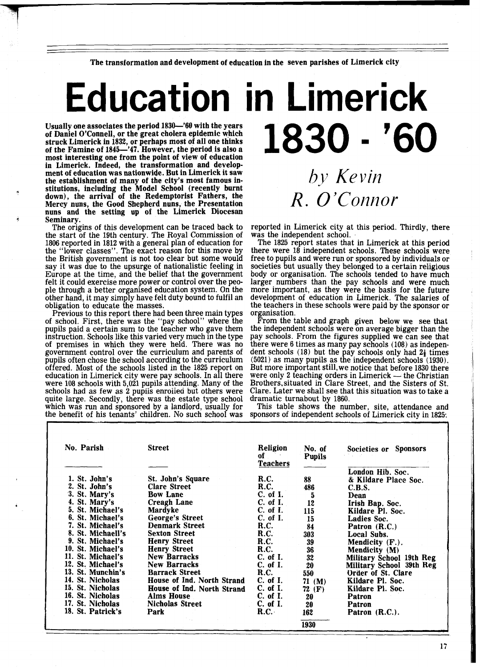The transformation and development of education in the seven parishes of Limerick city

## **Education in Limerick** 1830 - '60

Usually one associates the period 1830-'60 with the years of Daniel O'Connell, or the great cholera epidemic which struck Limerick in 1832, or perhaps most of all one thinks of the Famine of 1845-'47. However, the period is also a most interesting one from the point of view of education in Limerick. Indeed, the transformation and development of education was nationwide. But in Limerick it saw the establishment of many of the city's most famous institutions, including the Model School (recently burnt down), the arrival of the Redemptorist Fathers, the Mercy nuns, the Good Shepherd nuns, the Presentation nuns and the setting up of the Limerick Diocesan Seminary.

The origins of this development can be traced back to the start of the 19th century. The Royal Commission of 1806 reported in 1812 with a general plan of education for the "lower classes". The exact reason for this move by the British government is not too clear but some would say it was due to the upsurge of nationalistic feeling in Europe at the time, and the belief that the government<br>felt it could exercise more power or control over the peofelt it could exercise more power or control over the peo- ple through a better organised education system. On the other hand, it may simply have felt duty bound to fulfil an obligation to educate the masses.

Previous to this report there had been three main types of school. First, there was the "pay school" where the pupils paid a certain sum to the teacher who gave them instruction. Schools like this varied very much in the type<br>of premises in which they were held. There was no government control over the curriculum and parents of pupils often chose the school according to the curriculum offered. Most of the schools listed in the 1825 report on education in Limerick city were pay schools. In all there were 108 schools with 5,021 pupils attending. Many of the schools had as few as 2 pupiis enroiiea but others were quite large. Secondly, there was the estate type school which was run and sponsored by a landlord, usually for the benefit of his tenants' children. No such school was

## *by Kevin*   $R. O'Connor$

reported in Limerick city at this period. Thirdly, there was the independent school.

The 1825 report states that in Limerick at this period there were 18 independent schools. These schools were free to pupils and were run or sponsored by individuals or societies but usually they belonged to a certain religious body or organisation. The schools tended to have much larger numbers than the pay schools and were much more important, as they were the basis for the future development of education in Limerick. The salaries of the teachers in these schools were paid by the sponsor or organisation.

From the table and graph given below we see that the independent schools were on average bigger than the pay schools. From the figures supplied we can see that there were 6 times as many pay schools (108) as indepenthere were 6 times as many pay schools (108) as independent schools (18) but the pay schools only had  $2\frac{1}{4}$  times (5021) as many pupils as the independent schools (1930). But more important stil1,we notice that before 1830 there  $(5021)$  as many pupils as the independent schools  $(1930)$ .<br>But more important still, we notice that before 1830 there were only 2 teaching orders in Limerick — the Christian Brothers, situated in Clare Street, and the S Clare. Later we shall see that this situation was to take a dramatic turnabout by 1860.

This table shows the number, site, attendance and sponsors of independent schools of Limerick city in 1825:

| No. Parish        | <b>Street</b>              | Religion<br>of .<br><b>Teachers</b> | No. of<br><b>Pupils</b> | <b>Sponsors</b><br>Societies or |
|-------------------|----------------------------|-------------------------------------|-------------------------|---------------------------------|
|                   |                            |                                     |                         | London Hib. Soc.                |
| 1. St. John's     | St. John's Square          | <b>R.C.</b>                         | 88                      | & Kildare Place Soc.            |
| 2. St. John's     | <b>Clare Street</b>        | R.C.                                | 486                     | C.B.S.                          |
| 3. St. Mary's     | <b>Bow Lane</b>            | $C.$ of I.                          | 5                       | Dean                            |
| 4. St. Mary's     | <b>Creagh Lane</b>         | C. of I.                            | 12                      | Irish Bap. Soc.                 |
| 5. St. Michael's  | Mardyke                    | C. of I.                            | 115                     | Kildare Pl. Soc.                |
| 6. St. Michael's  | George's Street            | C. of I.                            | 15                      | Ladies Soc.                     |
| 7. St. Michael's  | <b>Denmark Street</b>      | R.C.                                | 84                      | Patron (R.C.)                   |
| 8. St. Michaell's | <b>Sexton Street</b>       | R.C.                                | 303                     | Local Subs.                     |
| 9. St. Michael's  | <b>Henry Street</b>        | R.C.                                | 39                      | Mendicity (F.).                 |
| 10. St. Michael's | <b>Henry Street</b>        | <b>R.C.</b>                         | 36                      | Mendicity (M)                   |
| 11. St. Michael's | <b>New Barracks</b>        | $C.$ of I.                          | 32                      | Military School 19th Reg        |
| 12. St. Michael's | <b>New Barracks</b>        | C. of I.                            | 20                      | <b>Military School 39th Reg</b> |
| 13. St. Munchin's | <b>Barrack Street</b>      | R.C.                                | 550                     | Order of St. Clare              |
| 14. St. Nicholas  | House of Ind. North Strand | $C.$ of I.                          | 71 $(M)$                | Kildare Pl. Soc.                |
| 15. St. Nicholas  | House of Ind. North Strand | C. of I.                            | $72$ (F)                | Kildare Pl. Soc.                |
| 16. St. Nicholas  | <b>Alms House</b>          | C. of I.                            | 20                      | Patron                          |
| 17. St. Nicholas  | <b>Nicholas Street</b>     | C. of I.                            | 20                      | <b>Patron</b>                   |
| 18. St. Patrick's | Park                       | R.C.                                | 162                     | Patron (R.C.).                  |
|                   |                            |                                     | 1930                    |                                 |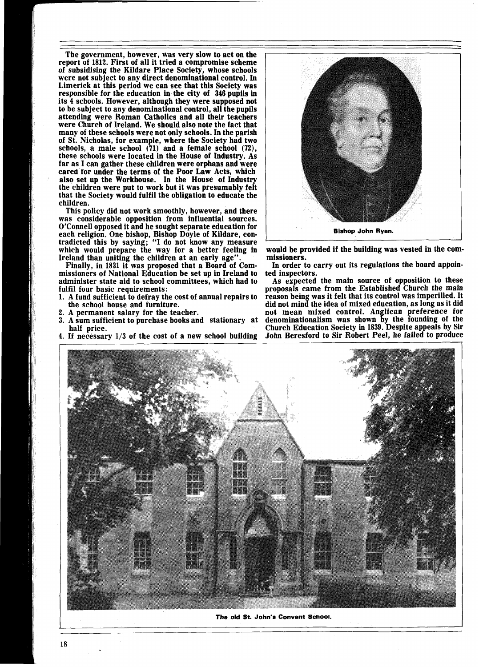The government, however, was very slow to act on the report of 1812. First of all it tried a compromise scheme of subsidising the Kildare Place Society, whose schools were not subject to any direct denominational control. In Limerick at this period we can see that this Society was responsible for the education in the city of 346 pupils in its 4 schools. However, although they were supposed not to be subject to any denominational control, all the pupils attending were Roman Catholics and all their teachers were Church of Ireland. We should also note the fact that many of these schools were not only schools. In the parish of St. Nicholas, for example, where the Society had two schools, a male school (71) and a female school **(72),**  these schools were located in the House of Industry. As far as I can gather these children were orphans and were cared for under the terms of the Poor Law Acts, which the children were put to work but it was presumably felt that the Society would fulfil the obligation to educate the children.

This policy did not work smoothly, however, and there was considerable opposition from influential sources. O'Connell opposed it and he sought separate education for each religion. One bishop, Bishop Doyle of Kildare, contradicted this by saying; "I do not know any measure which would prepare the way for a better feeling in Ireland than uniting the children at an early age'

Finally, in 1831 it was proposed that a Board of Commissioners of National Education be set up in Ireland to administer state aid to school committees, which had to fulfil four basic requirements:

- 1. A fund sufficient to defray the cost of annual repairs to the school house and furniture.
- 2. A permanent salary for the teacher.<br>3. A sum sufficient to purchase books an
- 3. A sum sufficient to purchase books and stationary at half price.
- 4. If necessary 1/3 of the cost of a new school building



would be provided if the building was vested in the commissioners.

In order to carry out its regulations the board appointed inspectors.

As expected the main source of opposition to these proposals came from the Established Church the main reason being was it felt that its control was imperilled. It did not mind the idea of mixed education, as long as it did not mean mixed control. Anglican preference for denominationalism was shown by the founding of the Church Education Society in 1839. Despite appeals by Sir John Beresford to Sir Robert Peel, he failed to produce



**The old St. John's Convent Scnool.**